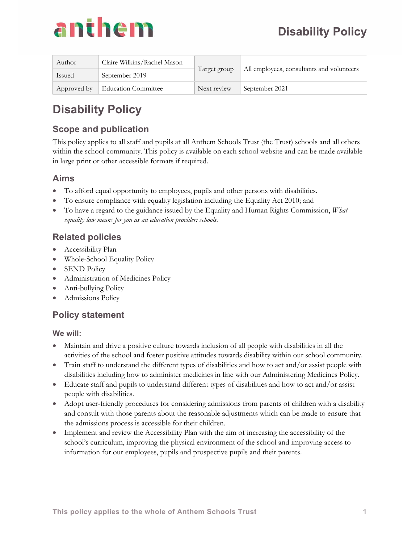

| Author      | Claire Wilkins/Rachel Mason | Target group | All employees, consultants and volunteers |
|-------------|-----------------------------|--------------|-------------------------------------------|
| Issued      | September 2019              |              |                                           |
| Approved by | Education Committee         | Next review  | September 2021                            |

## **Disability Policy**

## **Scope and publication**

This policy applies to all staff and pupils at all Anthem Schools Trust (the Trust) schools and all others within the school community. This policy is available on each school website and can be made available in large print or other accessible formats if required.

#### **Aims**

- To afford equal opportunity to employees, pupils and other persons with disabilities.
- To ensure compliance with equality legislation including the Equality Act 2010; and
- To have a regard to the guidance issued by the Equality and Human Rights Commission, *What equality law means for you as an education provider: schools.*

### **Related policies**

- Accessibility Plan
- Whole-School Equality Policy
- SEND Policy
- Administration of Medicines Policy
- Anti-bullying Policy
- Admissions Policy

#### **Policy statement**

#### **We will:**

- Maintain and drive a positive culture towards inclusion of all people with disabilities in all the activities of the school and foster positive attitudes towards disability within our school community.
- Train staff to understand the different types of disabilities and how to act and/or assist people with disabilities including how to administer medicines in line with our Administering Medicines Policy.
- Educate staff and pupils to understand different types of disabilities and how to act and/or assist people with disabilities.
- Adopt user-friendly procedures for considering admissions from parents of children with a disability and consult with those parents about the reasonable adjustments which can be made to ensure that the admissions process is accessible for their children.
- Implement and review the Accessibility Plan with the aim of increasing the accessibility of the school's curriculum, improving the physical environment of the school and improving access to information for our employees, pupils and prospective pupils and their parents.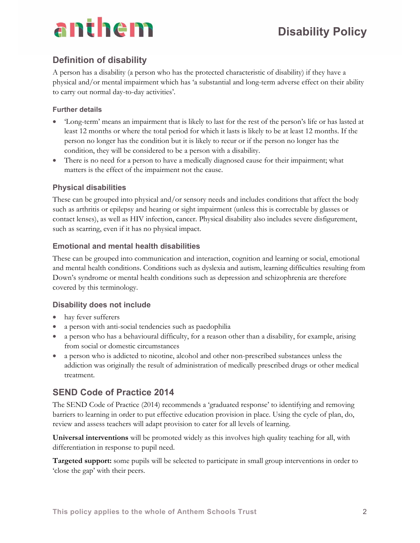## anthem

### **Definition of disability**

A person has a disability (a person who has the protected characteristic of disability) if they have a physical and/or mental impairment which has 'a substantial and long-term adverse effect on their ability to carry out normal day-to-day activities'.

#### **Further details**

- 'Long-term' means an impairment that is likely to last for the rest of the person's life or has lasted at least 12 months or where the total period for which it lasts is likely to be at least 12 months. If the person no longer has the condition but it is likely to recur or if the person no longer has the condition, they will be considered to be a person with a disability.
- There is no need for a person to have a medically diagnosed cause for their impairment; what matters is the effect of the impairment not the cause.

#### **Physical disabilities**

These can be grouped into physical and/or sensory needs and includes conditions that affect the body such as arthritis or epilepsy and hearing or sight impairment (unless this is correctable by glasses or contact lenses), as well as HIV infection, cancer. Physical disability also includes severe disfigurement, such as scarring, even if it has no physical impact.

#### **Emotional and mental health disabilities**

These can be grouped into communication and interaction, cognition and learning or social, emotional and mental health conditions. Conditions such as dyslexia and autism, learning difficulties resulting from Down's syndrome or mental health conditions such as depression and schizophrenia are therefore covered by this terminology.

#### **Disability does not include**

- hay fever sufferers
- a person with anti-social tendencies such as paedophilia
- a person who has a behavioural difficulty, for a reason other than a disability, for example, arising from social or domestic circumstances
- a person who is addicted to nicotine, alcohol and other non-prescribed substances unless the addiction was originally the result of administration of medically prescribed drugs or other medical treatment.

### **SEND Code of Practice 2014**

The SEND Code of Practice (2014) recommends a 'graduated response' to identifying and removing barriers to learning in order to put effective education provision in place. Using the cycle of plan, do, review and assess teachers will adapt provision to cater for all levels of learning.

**Universal interventions** will be promoted widely as this involves high quality teaching for all, with differentiation in response to pupil need.

**Targeted support:** some pupils will be selected to participate in small group interventions in order to 'close the gap' with their peers.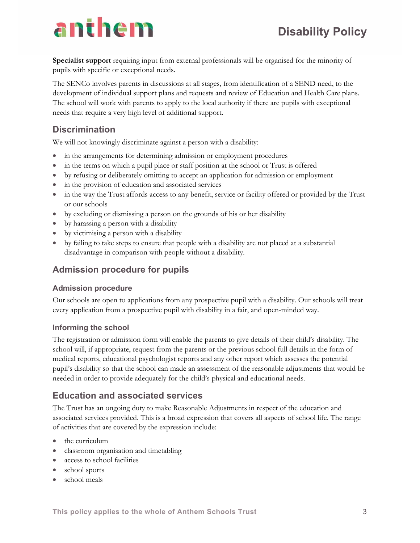# anthem

**Specialist support** requiring input from external professionals will be organised for the minority of pupils with specific or exceptional needs.

The SENCo involves parents in discussions at all stages, from identification of a SEND need, to the development of individual support plans and requests and review of Education and Health Care plans. The school will work with parents to apply to the local authority if there are pupils with exceptional needs that require a very high level of additional support.

### **Discrimination**

We will not knowingly discriminate against a person with a disability:

- in the arrangements for determining admission or employment procedures
- in the terms on which a pupil place or staff position at the school or Trust is offered
- by refusing or deliberately omitting to accept an application for admission or employment
- in the provision of education and associated services
- in the way the Trust affords access to any benefit, service or facility offered or provided by the Trust or our schools
- by excluding or dismissing a person on the grounds of his or her disability
- by harassing a person with a disability
- by victimising a person with a disability
- by failing to take steps to ensure that people with a disability are not placed at a substantial disadvantage in comparison with people without a disability.

#### **Admission procedure for pupils**

#### **Admission procedure**

Our schools are open to applications from any prospective pupil with a disability. Our schools will treat every application from a prospective pupil with disability in a fair, and open-minded way.

#### **Informing the school**

The registration or admission form will enable the parents to give details of their child's disability. The school will, if appropriate, request from the parents or the previous school full details in the form of medical reports, educational psychologist reports and any other report which assesses the potential pupil's disability so that the school can made an assessment of the reasonable adjustments that would be needed in order to provide adequately for the child's physical and educational needs.

#### **Education and associated services**

The Trust has an ongoing duty to make Reasonable Adjustments in respect of the education and associated services provided. This is a broad expression that covers all aspects of school life. The range of activities that are covered by the expression include:

- the curriculum
- classroom organisation and timetabling
- access to school facilities
- school sports
- school meals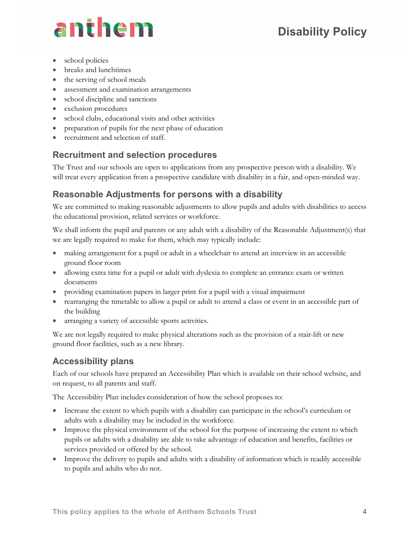## **Disability Policy**

# anthem

- school policies
- breaks and lunchtimes
- $\bullet$  the serving of school meals
- assessment and examination arrangements
- school discipline and sanctions
- exclusion procedures
- school clubs, educational visits and other activities
- preparation of pupils for the next phase of education
- recruitment and selection of staff.

## **Recruitment and selection procedures**

The Trust and our schools are open to applications from any prospective person with a disability. We will treat every application from a prospective candidate with disability in a fair, and open-minded way.

## **Reasonable Adjustments for persons with a disability**

We are committed to making reasonable adjustments to allow pupils and adults with disabilities to access the educational provision, related services or workforce.

We shall inform the pupil and parents or any adult with a disability of the Reasonable Adjustment(s) that we are legally required to make for them, which may typically include:

- making arrangement for a pupil or adult in a wheelchair to attend an interview in an accessible ground floor room
- allowing extra time for a pupil or adult with dyslexia to complete an entrance exam or written documents
- providing examination papers in larger print for a pupil with a visual impairment
- rearranging the timetable to allow a pupil or adult to attend a class or event in an accessible part of the building
- arranging a variety of accessible sports activities.

We are not legally required to make physical alterations such as the provision of a stair-lift or new ground floor facilities, such as a new library.

## **Accessibility plans**

Each of our schools have prepared an Accessibility Plan which is available on their school website, and on request, to all parents and staff.

The Accessibility Plan includes consideration of how the school proposes to:

- Increase the extent to which pupils with a disability can participate in the school's curriculum or adults with a disability may be included in the workforce.
- Improve the physical environment of the school for the purpose of increasing the extent to which pupils or adults with a disability are able to take advantage of education and benefits, facilities or services provided or offered by the school.
- Improve the delivery to pupils and adults with a disability of information which is readily accessible to pupils and adults who do not.